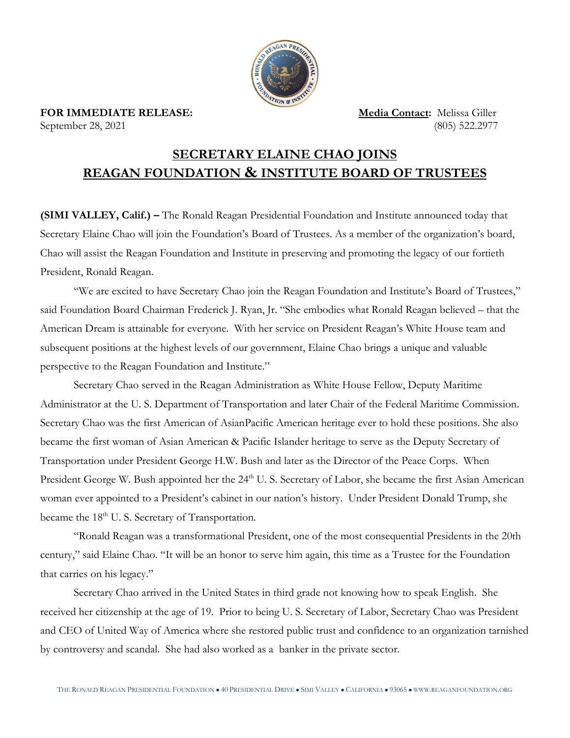

## **SECRETARY ELAINE CHAO JOINS REAGAN FOUNDATION & INSTITUTE BOARD OF TRUSTEES**

**(SIMI VALLEY, Calif.) –** The Ronald Reagan Presidential Foundation and Institute announced today that Secretary Elaine Chao will join the Foundation's Board of Trustees. As a member of the organization's board, Chao will assist the Reagan Foundation and Institute in preserving and promoting the legacy of our fortieth President, Ronald Reagan.

"We are excited to have Secretary Chao join the Reagan Foundation and Institute's Board of Trustees," said Foundation Board Chairman Frederick J. Ryan, Jr. "She embodies what Ronald Reagan believed – that the American Dream is attainable for everyone. With her service on President Reagan's White House team and subsequent positions at the highest levels of our government, Elaine Chao brings a unique and valuable perspective to the Reagan Foundation and Institute."

Secretary Chao served in the Reagan Administration as White House Fellow, Deputy Maritime Administrator at the U. S. Department of Transportation and later Chair of the Federal Maritime Commission. Secretary Chao was the first American of AsianPacific American heritage ever to hold these positions. She also became the first woman of Asian American & Pacific Islander heritage to serve as the Deputy Secretary of Transportation under President George H.W. Bush and later as the Director of the Peace Corps. When President George W. Bush appointed her the 24<sup>th</sup> U. S. Secretary of Labor, she became the first Asian American woman ever appointed to a President's cabinet in our nation's history. Under President Donald Trump, she became the 18<sup>th</sup> U.S. Secretary of Transportation.

"Ronald Reagan was a transformational President, one of the most consequential Presidents in the 20th century," said Elaine Chao. "It will be an honor to serve him again, this time as a Trustee for the Foundation that carries on his legacy."

Secretary Chao arrived in the United States in third grade not knowing how to speak English. She received her citizenship at the age of 19. Prior to being U. S. Secretary of Labor, Secretary Chao was President and CEO of United Way of America where she restored public trust and confidence to an organization tarnished by controversy and scandal. She had also worked as a banker in the private sector.